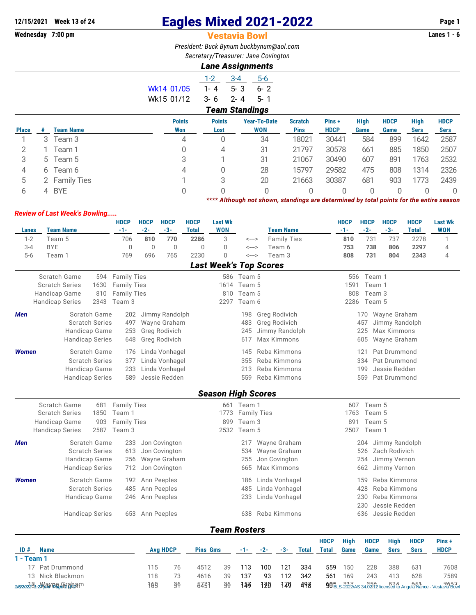## **12/15/2021** Week 13 of 24 **Eagles Mixed 2021-2022** Page 1<br> **12/15/2021** Page 1<br> **12/15/2021** Page 1 - 6<br> **12/15/2021** Page 1 - 6

## **Wednesday 7:00 pm** Vestavia Bowl **Lanes 1 - 6**

*President: Buck Bynum [buckbynum@aol.com](mailto:buckbynum@aol.com) Secretary/Treasurer: Jane Covington*

## *Lane Assignments*

|            |                       | $A - A$ | 5-6      |  |  |  |  |  |  |  |
|------------|-----------------------|---------|----------|--|--|--|--|--|--|--|
| Wk14 01/05 | 1-4                   | $5 - 3$ | ճ- 2     |  |  |  |  |  |  |  |
| Wk15 01/12 | $3 - 6$               | - 2-4   | $-5 - 1$ |  |  |  |  |  |  |  |
|            | <b>Team Standings</b> |         |          |  |  |  |  |  |  |  |

| <b>Place</b> |       | <b>Team Name</b> | <b>Points</b><br>Won | <b>Points</b><br>Lost | <b>Year-To-Date</b><br><b>WON</b> | <b>Scratch</b><br><b>Pins</b> | Pins+<br><b>HDCP</b> | <b>High</b><br>Game | <b>HDCP</b><br>Game | <b>High</b><br><b>Sers</b> | <b>HDCP</b><br>Sers |
|--------------|-------|------------------|----------------------|-----------------------|-----------------------------------|-------------------------------|----------------------|---------------------|---------------------|----------------------------|---------------------|
|              |       | Team 3           | 4                    |                       | 34                                | 18021                         | 30441                | 584                 | 899                 | 1642                       | 2587                |
|              |       | Team 1           |                      | 4                     | 31                                | 21797                         | 30578                | 661                 | 885                 | 1850                       | 2507                |
| 3            | $5 -$ | Team 5           | 3                    |                       | 31                                | 21067                         | 30490                | 607                 | 891                 | 1763                       | 2532                |
|              | 6     | Team 6           | 4                    |                       | 28                                | 15797                         | 29582                | 475                 | 808                 | 1314                       | 2326                |
| 5            |       | 2 Family Ties    |                      |                       | 20                                | 21663                         | 30387                | 681                 | 903                 | 1773                       | 2439                |
| b            |       | 4 BYE            |                      |                       |                                   |                               |                      | 0                   |                     |                            | 0                   |

*\*\*\*\* Although not shown, standings are determined by total points for the entire season*

## *Review of Last Week's Bowling.....*

|              |                                | <b>HDCP</b>        | <b>HDCP</b> | <b>HDCP</b>           | <b>HDCP</b>    | <b>Last Wk</b>                |                            |       |                      |              |              | <b>HDCP</b> | <b>HDCP</b> | <b>HDCP</b>    | <b>HDCP</b>  | <b>Last Wk</b>                                                                |
|--------------|--------------------------------|--------------------|-------------|-----------------------|----------------|-------------------------------|----------------------------|-------|----------------------|--------------|--------------|-------------|-------------|----------------|--------------|-------------------------------------------------------------------------------|
| Lanes        | <b>Team Name</b>               | $-1-$              | $-2-$       | $-3-$                 | <b>Total</b>   | <b>WON</b>                    |                            |       | <b>Team Name</b>     |              |              | $-1-$       | $-2-$       | $-3-$          | <b>Total</b> | <b>WON</b>                                                                    |
| $1 - 2$      | Team 5                         | 706                | 810         | 770                   | 2286           | 3                             | <--->                      |       | <b>Family Ties</b>   |              |              | 810         | 731         | 737            | 2278         | 1                                                                             |
| $3 - 4$      | <b>BYE</b>                     | $\overline{0}$     | $\mathbf 0$ | $\overline{0}$<br>765 | $\overline{0}$ | 0<br>$\overline{0}$           | $\leftarrow$ $\rightarrow$ |       | Team 6               |              |              | 753         | 738         | 806            | 2297         | $\overline{4}$                                                                |
| $5-6$        | Team 1                         | 769                | 696         |                       | 2230           |                               | $\leftarrow$ $\rightarrow$ |       | Team 3               |              |              | 808         | 731         | 804            | 2343         | $\overline{4}$                                                                |
|              |                                |                    |             |                       |                | <b>Last Week's Top Scores</b> |                            |       |                      |              |              |             |             |                |              |                                                                               |
|              | <b>Scratch Game</b><br>594     | <b>Family Ties</b> |             |                       |                |                               | 586 Team 5                 |       |                      |              |              | 556         | Team 1      |                |              |                                                                               |
|              | <b>Scratch Series</b><br>1630  | <b>Family Ties</b> |             |                       |                |                               | 1614 Team 5                |       |                      |              |              | 1591        | Team 1      |                |              |                                                                               |
|              | Handicap Game<br>810           | <b>Family Ties</b> |             |                       |                |                               | 810 Team 5                 |       |                      |              |              | 808         | Team 3      |                |              |                                                                               |
|              | 2343<br><b>Handicap Series</b> | Team 3             |             |                       |                | 2297                          | Team 6                     |       |                      |              |              | 2286        | Team 5      |                |              |                                                                               |
| <b>Men</b>   | Scratch Game                   | 202                |             | Jimmy Randolph        |                |                               | 198                        |       | <b>Greg Rodivich</b> |              |              |             | 170         | Wayne Graham   |              |                                                                               |
|              | <b>Scratch Series</b>          | 497                |             | Wayne Graham          |                |                               | 483                        |       | Greg Rodivich        |              |              |             | 457         | Jimmy Randolph |              |                                                                               |
|              | Handicap Game                  | 253                |             | Greg Rodivich         |                |                               | 245                        |       | Jimmy Randolph       |              |              |             | 225         | Max Kimmons    |              |                                                                               |
|              | <b>Handicap Series</b>         | 648                |             | Greg Rodivich         |                |                               | 617                        |       | Max Kimmons          |              |              |             | 605         | Wayne Graham   |              |                                                                               |
| <b>Women</b> | Scratch Game                   | 176                |             | Linda Vonhagel        |                |                               | 145                        |       | Reba Kimmons         |              |              |             | 121         | Pat Drummond   |              |                                                                               |
|              | <b>Scratch Series</b>          | 377                |             | Linda Vonhagel        |                |                               | 355                        |       | Reba Kimmons         |              |              |             | 334         | Pat Drummond   |              |                                                                               |
|              | Handicap Game                  | 233                |             | Linda Vonhagel        |                |                               | 213                        |       | Reba Kimmons         |              |              |             | 199         | Jessie Redden  |              |                                                                               |
|              | <b>Handicap Series</b>         | 589                |             | Jessie Redden         |                |                               | 559                        |       | Reba Kimmons         |              |              |             | 559         | Pat Drummond   |              |                                                                               |
|              |                                |                    |             |                       |                | <b>Season High Scores</b>     |                            |       |                      |              |              |             |             |                |              |                                                                               |
|              | Scratch Game<br>681            | <b>Family Ties</b> |             |                       |                |                               | 661 Team 1                 |       |                      |              |              |             | 607 Team 5  |                |              |                                                                               |
|              | <b>Scratch Series</b><br>1850  | Team 1             |             |                       |                |                               | 1773 Family Ties           |       |                      |              |              | 1763        | Team 5      |                |              |                                                                               |
|              | Handicap Game<br>903           | <b>Family Ties</b> |             |                       |                | 899                           | Team 3                     |       |                      |              |              | 891         | Team 5      |                |              |                                                                               |
|              | <b>Handicap Series</b><br>2587 | Team 3             |             |                       |                |                               | 2532 Team 5                |       |                      |              |              | 2507        | Team 1      |                |              |                                                                               |
| <b>Men</b>   | Scratch Game                   | 233                |             | Jon Covington         |                |                               | 217                        |       | Wayne Graham         |              |              |             | 204         | Jimmy Randolph |              |                                                                               |
|              | <b>Scratch Series</b>          | 613                |             | Jon Covington         |                |                               | 534                        |       | Wayne Graham         |              |              |             | 526         | Zach Rodivich  |              |                                                                               |
|              | Handicap Game                  | 256                |             | Wayne Graham          |                |                               | 255                        |       | Jon Covington        |              |              |             | 254         | Jimmy Vernon   |              |                                                                               |
|              | <b>Handicap Series</b>         | 712                |             | Jon Covington         |                |                               | 665                        |       | Max Kimmons          |              |              |             | 662         | Jimmy Vernon   |              |                                                                               |
| <b>Women</b> | Scratch Game                   | 192                |             | Ann Peeples           |                |                               | 186                        |       | Linda Vonhagel       |              |              |             | 159         | Reba Kimmons   |              |                                                                               |
|              | <b>Scratch Series</b>          | 485                |             | Ann Peeples           |                |                               | 485                        |       | Linda Vonhagel       |              |              |             | 428         | Reba Kimmons   |              |                                                                               |
|              | Handicap Game                  | 246                |             | Ann Peeples           |                |                               | 233                        |       | Linda Vonhagel       |              |              |             | 230         | Reba Kimmons   |              |                                                                               |
|              |                                |                    |             |                       |                |                               |                            |       |                      |              |              |             | 230         | Jessie Redden  |              |                                                                               |
|              | <b>Handicap Series</b>         | 653                |             | Ann Peeples           |                |                               | 638                        |       | Reba Kimmons         |              |              |             | 636         | Jessie Redden  |              |                                                                               |
|              |                                |                    |             |                       |                | <b>Team Rosters</b>           |                            |       |                      |              |              |             |             |                |              |                                                                               |
|              |                                |                    |             |                       |                |                               |                            |       |                      |              | <b>HDCP</b>  | <b>High</b> | <b>HDCP</b> | <b>High</b>    | <b>HDCP</b>  | Pins+                                                                         |
| ID#          | <b>Name</b>                    |                    |             | <b>Avg HDCP</b>       |                | <b>Pins Gms</b>               | -1-                        | $-2-$ | -3-                  | <b>Total</b> | <b>Total</b> | Game        | Game        | <b>Sers</b>    | <b>Sers</b>  | <b>HDCP</b>                                                                   |
| 1 - Team 1   |                                |                    |             |                       |                |                               |                            |       |                      |              |              |             |             |                |              |                                                                               |
|              | 17 Pat Drummond                |                    | 115         | 76                    | 4512           | 39                            | 113                        | 100   | 121                  | 334          | 559          | 150         | 228         | 388            | 631          | 7608                                                                          |
|              | 13 Nick Blackmon               |                    | 118         | 73                    | 4616           | 39                            | 137                        | 93    | 112                  | 342          | 561          | 169         | 243         | 413            | 628          | 7589                                                                          |
|              | 1/6/202231:2000 VBay Finabam   |                    | 169         | 36                    | 6431           | 36                            | 153                        | 120   | 170                  | 498          |              |             |             |                |              | $90E$ <sub>LS-2022</sub> /AS 34.02.12 licensed to Angela Nance - Vestavia Bow |